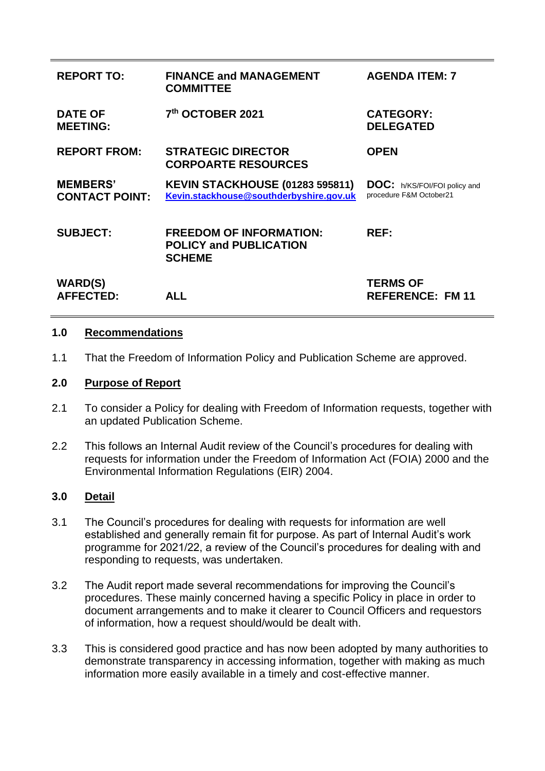| <b>REPORT TO:</b>                        | <b>FINANCE and MANAGEMENT</b><br><b>COMMITTEE</b>                                 | <b>AGENDA ITEM: 7</b>                                          |
|------------------------------------------|-----------------------------------------------------------------------------------|----------------------------------------------------------------|
| <b>DATE OF</b><br><b>MEETING:</b>        | 7th OCTOBER 2021                                                                  | <b>CATEGORY:</b><br><b>DELEGATED</b>                           |
| <b>REPORT FROM:</b>                      | <b>STRATEGIC DIRECTOR</b><br><b>CORPOARTE RESOURCES</b>                           | <b>OPEN</b>                                                    |
| <b>MEMBERS'</b><br><b>CONTACT POINT:</b> | <b>KEVIN STACKHOUSE (01283 595811)</b><br>Kevin.stackhouse@southderbyshire.gov.uk | <b>DOC:</b> h/KS/FOI/FOI policy and<br>procedure F&M October21 |
| <b>SUBJECT:</b>                          | <b>FREEDOM OF INFORMATION:</b><br><b>POLICY and PUBLICATION</b><br><b>SCHEME</b>  | REF:                                                           |
| <b>WARD(S)</b><br><b>AFFECTED:</b>       | <b>ALL</b>                                                                        | <b>TERMS OF</b><br><b>REFERENCE: FM 11</b>                     |

## **1.0 Recommendations**

1.1 That the Freedom of Information Policy and Publication Scheme are approved.

## **2.0 Purpose of Report**

- 2.1 To consider a Policy for dealing with Freedom of Information requests, together with an updated Publication Scheme.
- 2.2 This follows an Internal Audit review of the Council's procedures for dealing with requests for information under the Freedom of Information Act (FOIA) 2000 and the Environmental Information Regulations (EIR) 2004.

## **3.0 Detail**

- 3.1 The Council's procedures for dealing with requests for information are well established and generally remain fit for purpose. As part of Internal Audit's work programme for 2021/22, a review of the Council's procedures for dealing with and responding to requests, was undertaken.
- 3.2 The Audit report made several recommendations for improving the Council's procedures. These mainly concerned having a specific Policy in place in order to document arrangements and to make it clearer to Council Officers and requestors of information, how a request should/would be dealt with.
- 3.3 This is considered good practice and has now been adopted by many authorities to demonstrate transparency in accessing information, together with making as much information more easily available in a timely and cost-effective manner.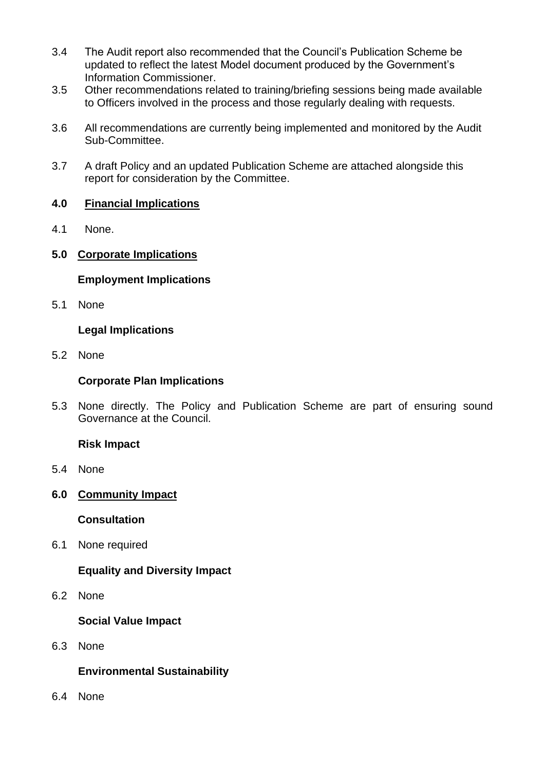- 3.4 The Audit report also recommended that the Council's Publication Scheme be updated to reflect the latest Model document produced by the Government's Information Commissioner.
- 3.5 Other recommendations related to training/briefing sessions being made available to Officers involved in the process and those regularly dealing with requests.
- 3.6 All recommendations are currently being implemented and monitored by the Audit Sub-Committee.
- 3.7 A draft Policy and an updated Publication Scheme are attached alongside this report for consideration by the Committee.

# **4.0 Financial Implications**

- 4.1 None.
- **5.0 Corporate Implications**

# **Employment Implications**

5.1 None

# **Legal Implications**

5.2 None

# **Corporate Plan Implications**

5.3 None directly. The Policy and Publication Scheme are part of ensuring sound Governance at the Council.

# **Risk Impact**

- 5.4 None
- **6.0 Community Impact**

## **Consultation**

6.1 None required

# **Equality and Diversity Impact**

6.2 None

## **Social Value Impact**

6.3 None

## **Environmental Sustainability**

6.4 None